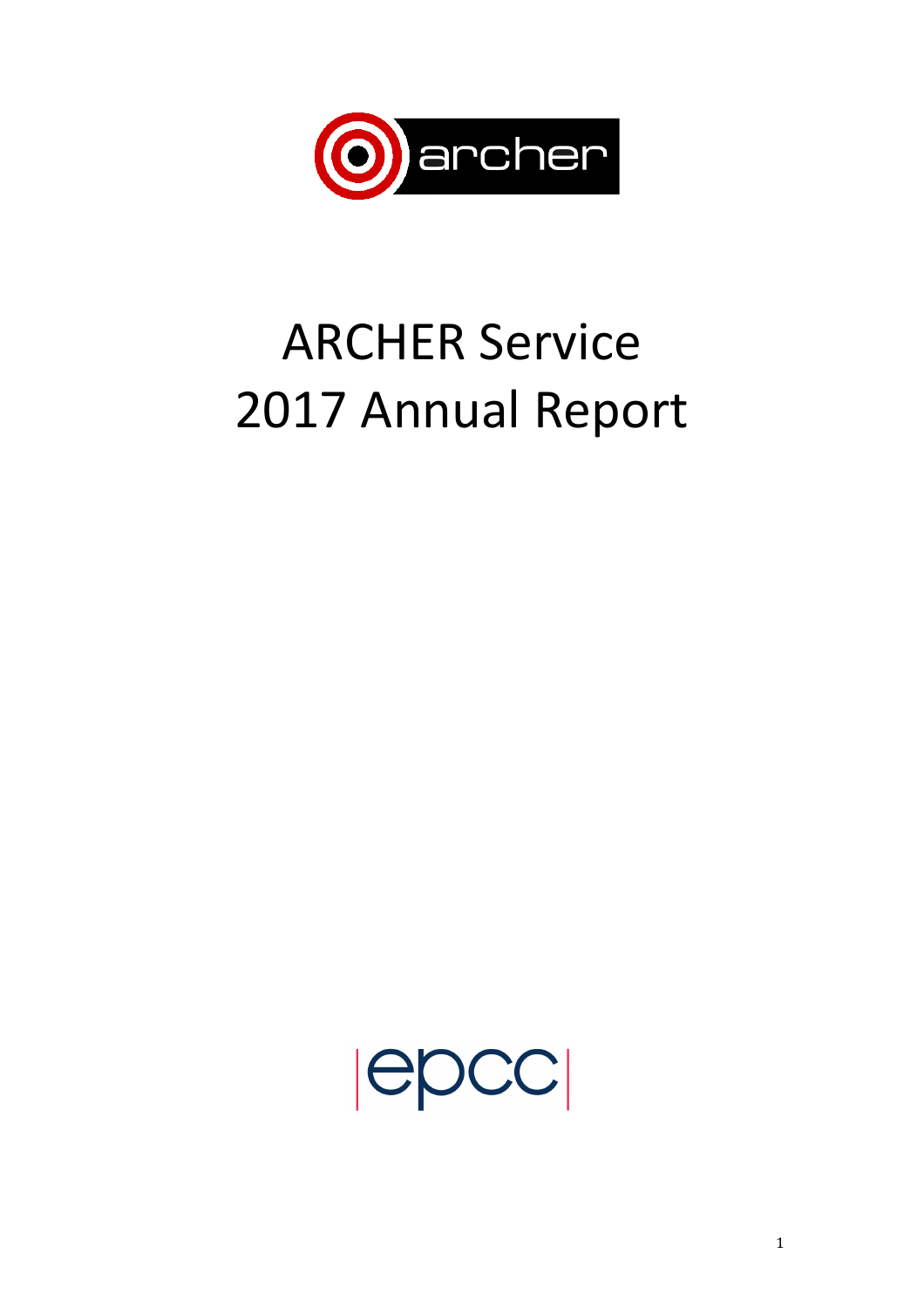

# **ARCHER Service** 2017 Annual Report

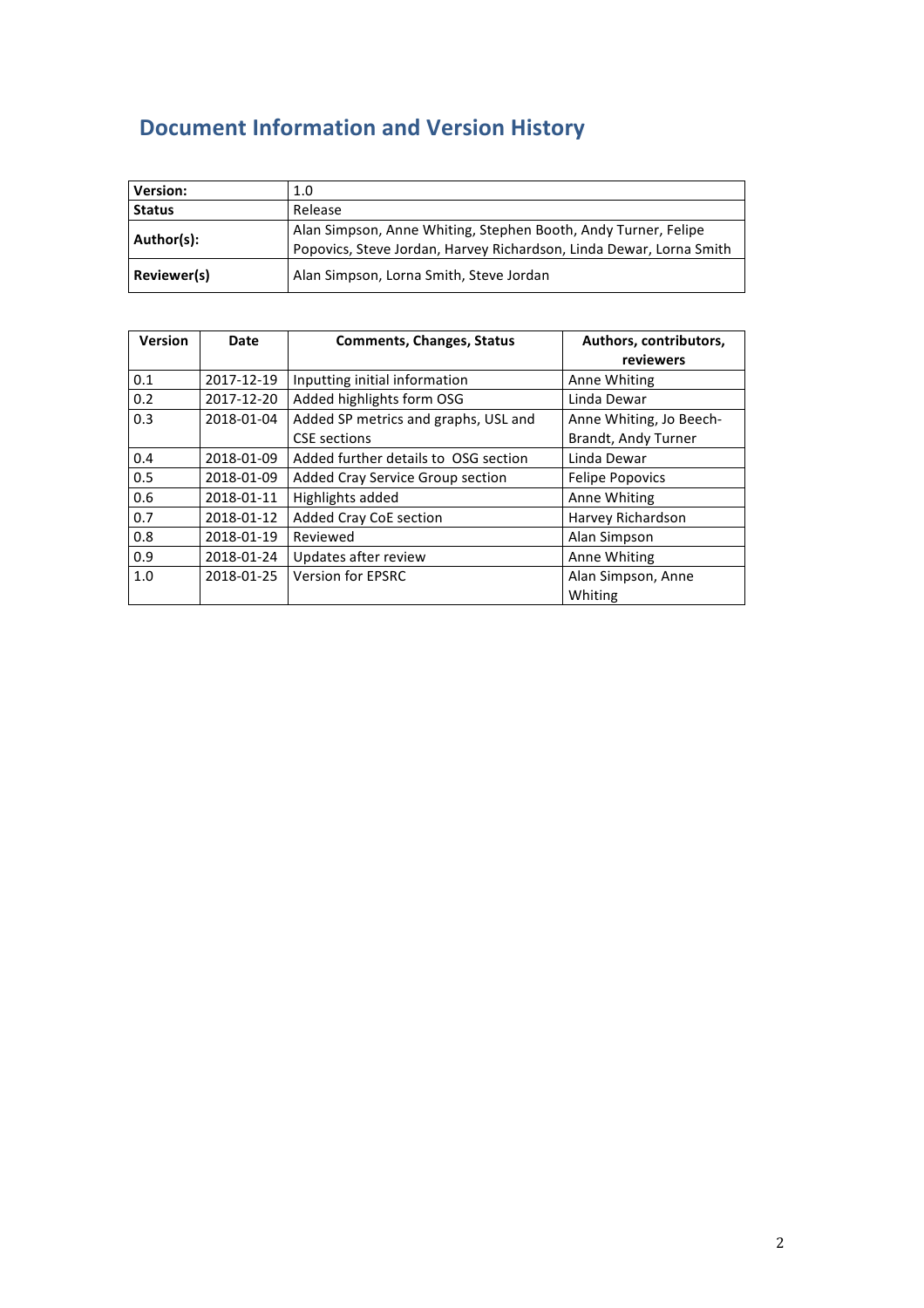# **Document Information and Version History**

| <b>Version:</b>          | 1.0                                                                                                                                   |
|--------------------------|---------------------------------------------------------------------------------------------------------------------------------------|
| Release<br><b>Status</b> |                                                                                                                                       |
| Author(s):               | Alan Simpson, Anne Whiting, Stephen Booth, Andy Turner, Felipe<br>Popovics, Steve Jordan, Harvey Richardson, Linda Dewar, Lorna Smith |
| Reviewer(s)              | Alan Simpson, Lorna Smith, Steve Jordan                                                                                               |

| <b>Version</b> | Date       | <b>Comments, Changes, Status</b>                            | Authors, contributors,<br>reviewers            |
|----------------|------------|-------------------------------------------------------------|------------------------------------------------|
| 0.1            | 2017-12-19 | Inputting initial information                               | Anne Whiting                                   |
| 0.2            | 2017-12-20 | Added highlights form OSG                                   | Linda Dewar                                    |
| 0.3            | 2018-01-04 | Added SP metrics and graphs, USL and<br><b>CSE</b> sections | Anne Whiting, Jo Beech-<br>Brandt, Andy Turner |
| 0.4            | 2018-01-09 | Added further details to OSG section                        | Linda Dewar                                    |
| 0.5            | 2018-01-09 | Added Cray Service Group section                            | <b>Felipe Popovics</b>                         |
| 0.6            | 2018-01-11 | Highlights added                                            | Anne Whiting                                   |
| 0.7            | 2018-01-12 | Added Cray CoE section                                      | Harvey Richardson                              |
| 0.8            | 2018-01-19 | Reviewed                                                    | Alan Simpson                                   |
| 0.9            | 2018-01-24 | Updates after review                                        | Anne Whiting                                   |
| 1.0            | 2018-01-25 | <b>Version for EPSRC</b>                                    | Alan Simpson, Anne<br>Whiting                  |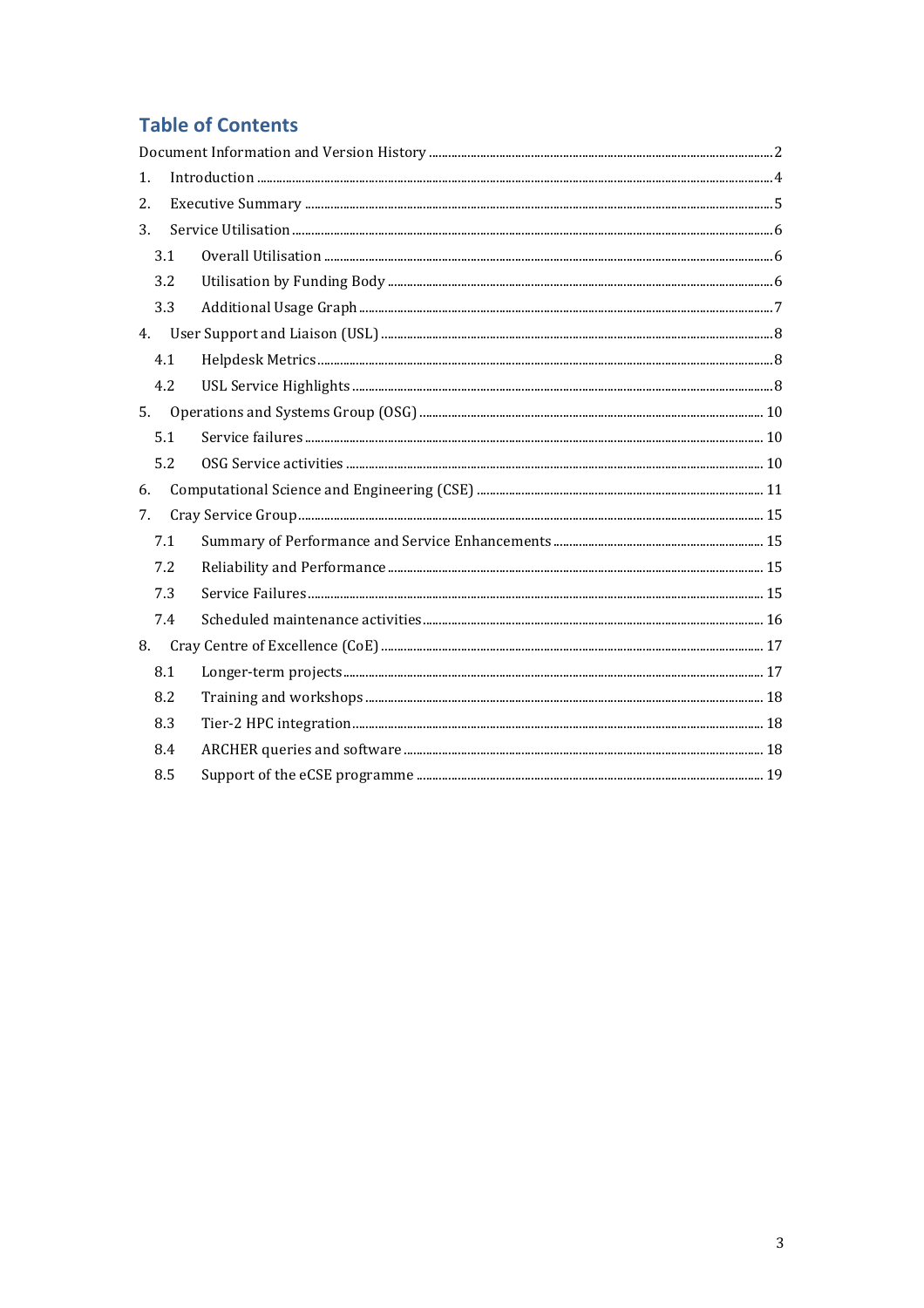# **Table of Contents**

| 1. |     |  |  |  |
|----|-----|--|--|--|
| 2. |     |  |  |  |
| 3. |     |  |  |  |
|    | 3.1 |  |  |  |
|    | 3.2 |  |  |  |
|    | 3.3 |  |  |  |
|    |     |  |  |  |
|    | 4.1 |  |  |  |
|    | 4.2 |  |  |  |
| 5. |     |  |  |  |
|    | 5.1 |  |  |  |
|    | 5.2 |  |  |  |
| 6. |     |  |  |  |
| 7. |     |  |  |  |
|    | 7.1 |  |  |  |
|    | 7.2 |  |  |  |
|    | 7.3 |  |  |  |
|    | 7.4 |  |  |  |
| 8. |     |  |  |  |
|    | 8.1 |  |  |  |
|    | 8.2 |  |  |  |
|    | 8.3 |  |  |  |
|    | 8.4 |  |  |  |
|    | 8.5 |  |  |  |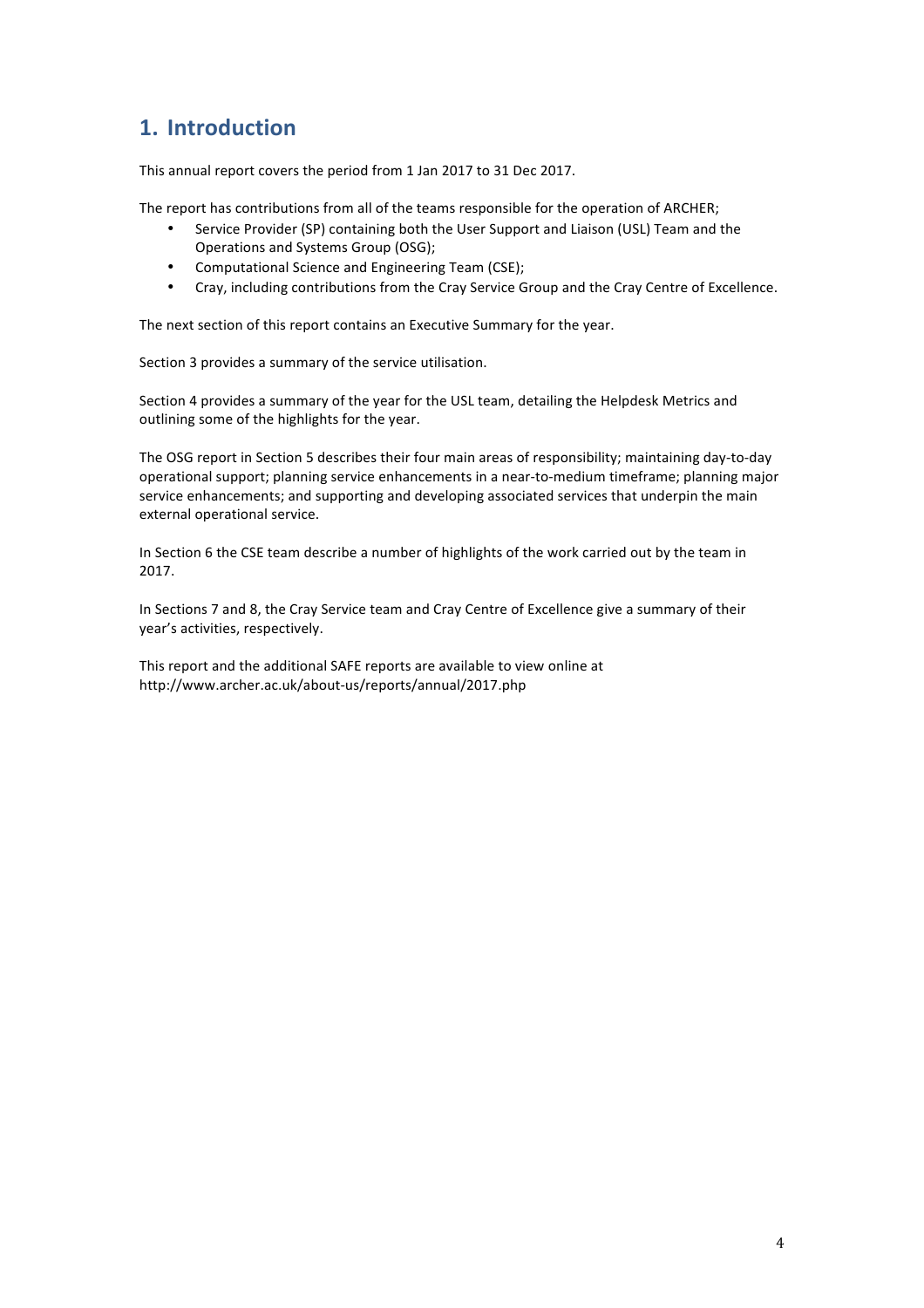# **1. Introduction**

This annual report covers the period from 1 Jan 2017 to 31 Dec 2017.

The report has contributions from all of the teams responsible for the operation of ARCHER;

- Service Provider (SP) containing both the User Support and Liaison (USL) Team and the Operations and Systems Group (OSG);
- Computational Science and Engineering Team (CSE);
- Cray, including contributions from the Cray Service Group and the Cray Centre of Excellence.

The next section of this report contains an Executive Summary for the year.

Section 3 provides a summary of the service utilisation.

Section 4 provides a summary of the year for the USL team, detailing the Helpdesk Metrics and outlining some of the highlights for the year.

The OSG report in Section 5 describes their four main areas of responsibility; maintaining day-to-day operational support; planning service enhancements in a near-to-medium timeframe; planning major service enhancements; and supporting and developing associated services that underpin the main external operational service.

In Section 6 the CSE team describe a number of highlights of the work carried out by the team in 2017. 

In Sections 7 and 8, the Cray Service team and Cray Centre of Excellence give a summary of their year's activities, respectively.

This report and the additional SAFE reports are available to view online at http://www.archer.ac.uk/about-us/reports/annual/2017.php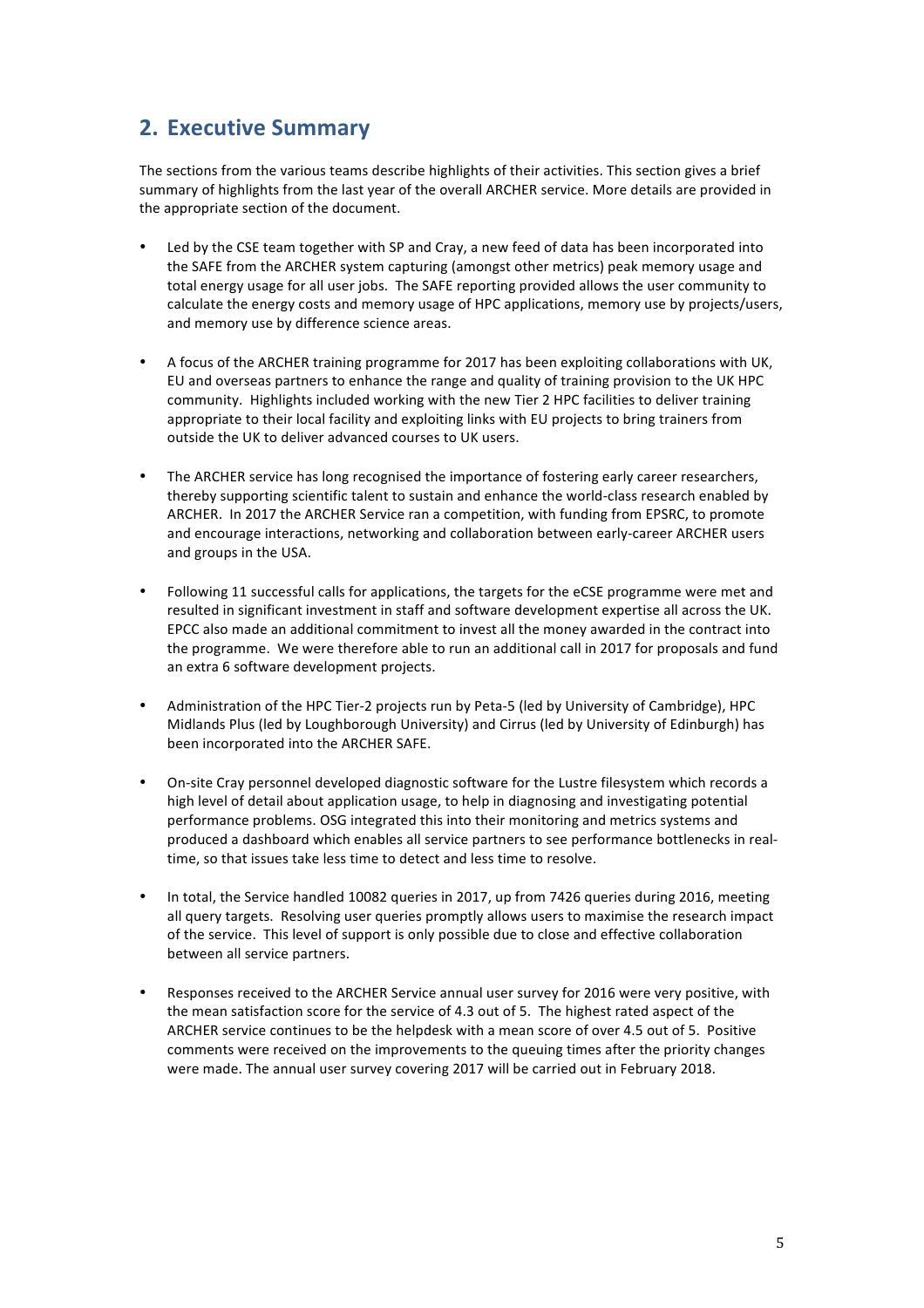# **2. Executive Summary**

The sections from the various teams describe highlights of their activities. This section gives a brief summary of highlights from the last year of the overall ARCHER service. More details are provided in the appropriate section of the document.

- Led by the CSE team together with SP and Cray, a new feed of data has been incorporated into the SAFE from the ARCHER system capturing (amongst other metrics) peak memory usage and total energy usage for all user jobs. The SAFE reporting provided allows the user community to calculate the energy costs and memory usage of HPC applications, memory use by projects/users, and memory use by difference science areas.
- A focus of the ARCHER training programme for 2017 has been exploiting collaborations with UK. EU and overseas partners to enhance the range and quality of training provision to the UK HPC community. Highlights included working with the new Tier 2 HPC facilities to deliver training appropriate to their local facility and exploiting links with EU projects to bring trainers from outside the UK to deliver advanced courses to UK users.
- The ARCHER service has long recognised the importance of fostering early career researchers, thereby supporting scientific talent to sustain and enhance the world-class research enabled by ARCHER. In 2017 the ARCHER Service ran a competition, with funding from EPSRC, to promote and encourage interactions, networking and collaboration between early-career ARCHER users and groups in the USA.
- Following 11 successful calls for applications, the targets for the eCSE programme were met and resulted in significant investment in staff and software development expertise all across the UK. EPCC also made an additional commitment to invest all the money awarded in the contract into the programme. We were therefore able to run an additional call in 2017 for proposals and fund an extra 6 software development projects.
- Administration of the HPC Tier-2 projects run by Peta-5 (led by University of Cambridge), HPC Midlands Plus (led by Loughborough University) and Cirrus (led by University of Edinburgh) has been incorporated into the ARCHER SAFE.
- On-site Cray personnel developed diagnostic software for the Lustre filesystem which records a high level of detail about application usage, to help in diagnosing and investigating potential performance problems. OSG integrated this into their monitoring and metrics systems and produced a dashboard which enables all service partners to see performance bottlenecks in realtime, so that issues take less time to detect and less time to resolve.
- In total, the Service handled 10082 queries in 2017, up from 7426 queries during 2016, meeting all query targets. Resolving user queries promptly allows users to maximise the research impact of the service. This level of support is only possible due to close and effective collaboration between all service partners.
- Responses received to the ARCHER Service annual user survey for 2016 were very positive, with the mean satisfaction score for the service of 4.3 out of 5. The highest rated aspect of the ARCHER service continues to be the helpdesk with a mean score of over 4.5 out of 5. Positive comments were received on the improvements to the queuing times after the priority changes were made. The annual user survey covering 2017 will be carried out in February 2018.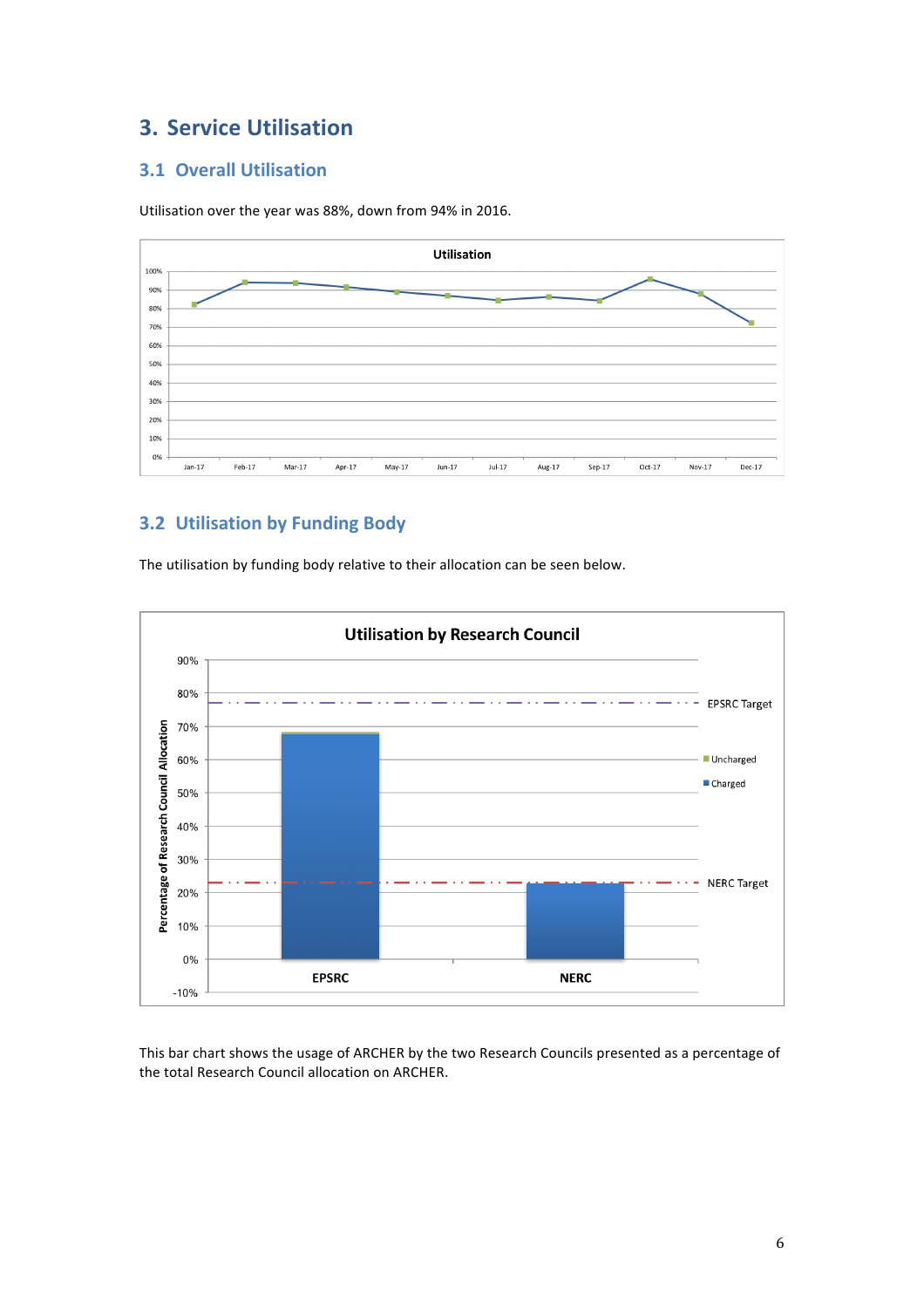# **3. Service Utilisation**

# **3.1 Overall Utilisation**

Utilisation over the year was 88%, down from 94% in 2016.



# **3.2 Utilisation by Funding Body**



The utilisation by funding body relative to their allocation can be seen below.

This bar chart shows the usage of ARCHER by the two Research Councils presented as a percentage of the total Research Council allocation on ARCHER.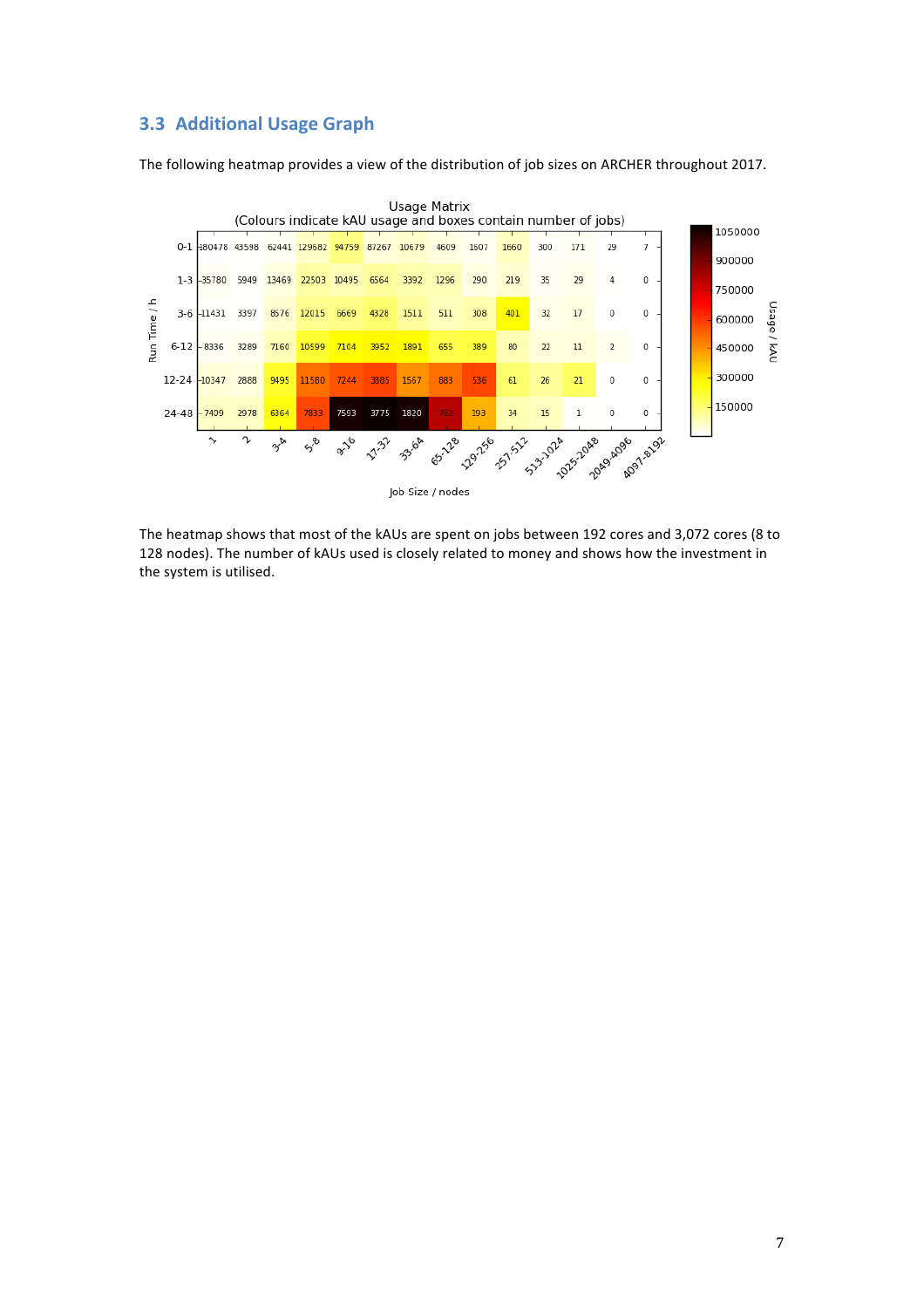## **3.3 Additional Usage Graph**

The following heatmap provides a view of the distribution of job sizes on ARCHER throughout 2017.



The heatmap shows that most of the kAUs are spent on jobs between 192 cores and 3,072 cores (8 to 128 nodes). The number of kAUs used is closely related to money and shows how the investment in the system is utilised.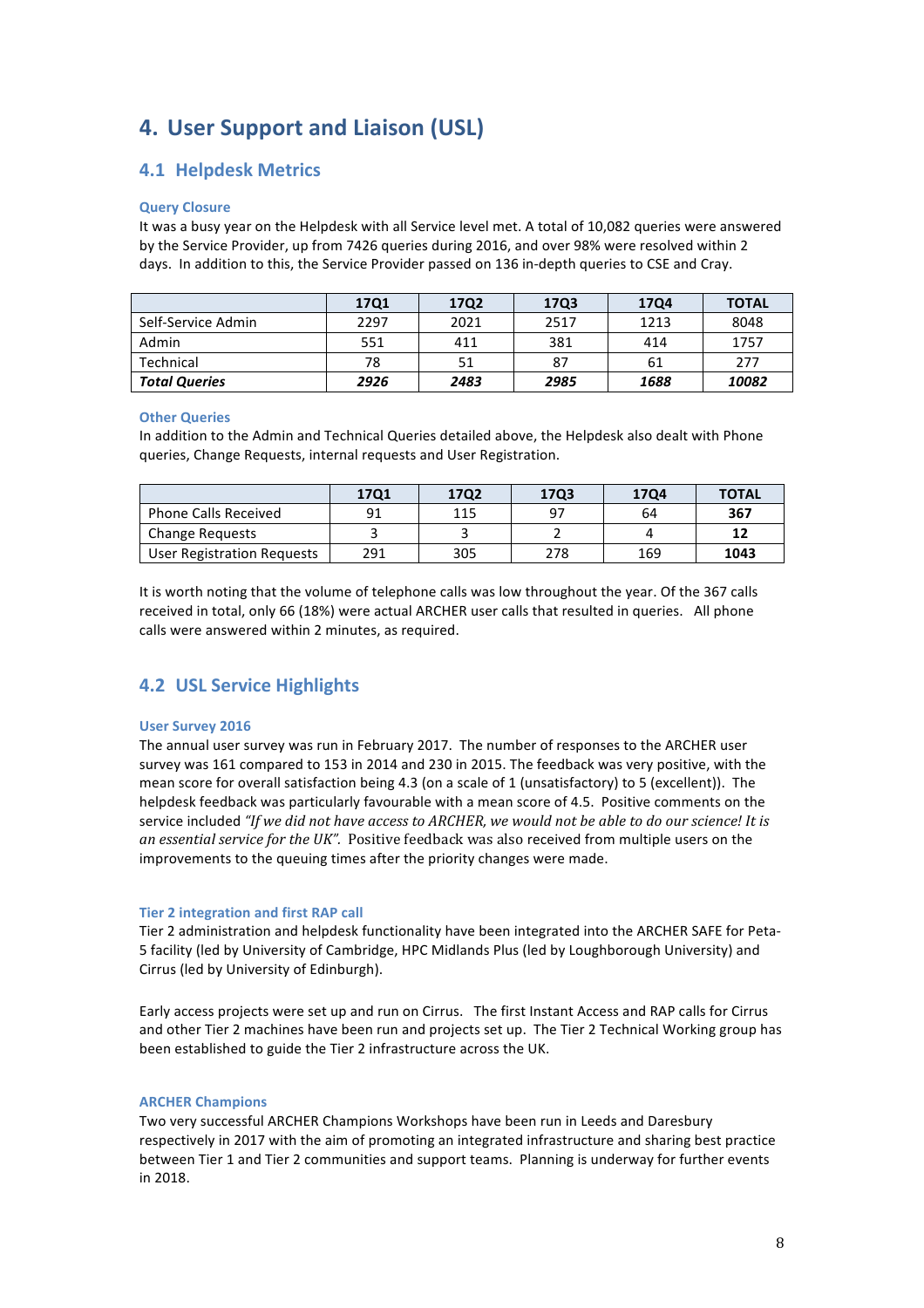# **4.** User Support and Liaison (USL)

## **4.1 Helpdesk Metrics**

#### **Query Closure**

It was a busy year on the Helpdesk with all Service level met. A total of 10,082 queries were answered by the Service Provider, up from 7426 queries during 2016, and over 98% were resolved within 2 days. In addition to this, the Service Provider passed on 136 in-depth queries to CSE and Cray.

|                      | <b>17Q1</b> | 17Q2 | 17Q3 | <b>17Q4</b> | <b>TOTAL</b> |
|----------------------|-------------|------|------|-------------|--------------|
| Self-Service Admin   | 2297        | 2021 | 2517 | 1213        | 8048         |
| Admin                | 551         | 411  | 381  | 414         | 1757         |
| Technical            | 78          | 51   | 87   | 61          | 277          |
| <b>Total Queries</b> | 2926        | 2483 | 2985 | 1688        | 10082        |

#### **Other Queries**

In addition to the Admin and Technical Queries detailed above, the Helpdesk also dealt with Phone queries, Change Requests, internal requests and User Registration.

|                             | 1701 | 1702 | 1703 | 1704 | <b>TOTAL</b> |
|-----------------------------|------|------|------|------|--------------|
| <b>Phone Calls Received</b> | 91   | 115  | 97   | 64   | 367          |
| <b>Change Requests</b>      |      |      |      |      |              |
| User Registration Requests  | 291  | 305  | 278  | 169  | 1043         |

It is worth noting that the volume of telephone calls was low throughout the year. Of the 367 calls received in total, only 66 (18%) were actual ARCHER user calls that resulted in queries. All phone calls were answered within 2 minutes, as required.

# **4.2 USL Service Highlights**

#### **User Survey 2016**

The annual user survey was run in February 2017. The number of responses to the ARCHER user survey was 161 compared to 153 in 2014 and 230 in 2015. The feedback was very positive, with the mean score for overall satisfaction being 4.3 (on a scale of 1 (unsatisfactory) to 5 (excellent)). The helpdesk feedback was particularly favourable with a mean score of 4.5. Positive comments on the service included "If we did not have access to ARCHER, we would not be able to do our science! It is *an essential service for the UK".* Positive feedback was also received from multiple users on the improvements to the queuing times after the priority changes were made.

#### **Tier 2 integration and first RAP call**

Tier 2 administration and helpdesk functionality have been integrated into the ARCHER SAFE for Peta-5 facility (led by University of Cambridge, HPC Midlands Plus (led by Loughborough University) and Cirrus (led by University of Edinburgh).

Early access projects were set up and run on Cirrus. The first Instant Access and RAP calls for Cirrus and other Tier 2 machines have been run and projects set up. The Tier 2 Technical Working group has been established to guide the Tier 2 infrastructure across the UK.

#### **ARCHER Champions**

Two very successful ARCHER Champions Workshops have been run in Leeds and Daresbury respectively in 2017 with the aim of promoting an integrated infrastructure and sharing best practice between Tier 1 and Tier 2 communities and support teams. Planning is underway for further events in 2018.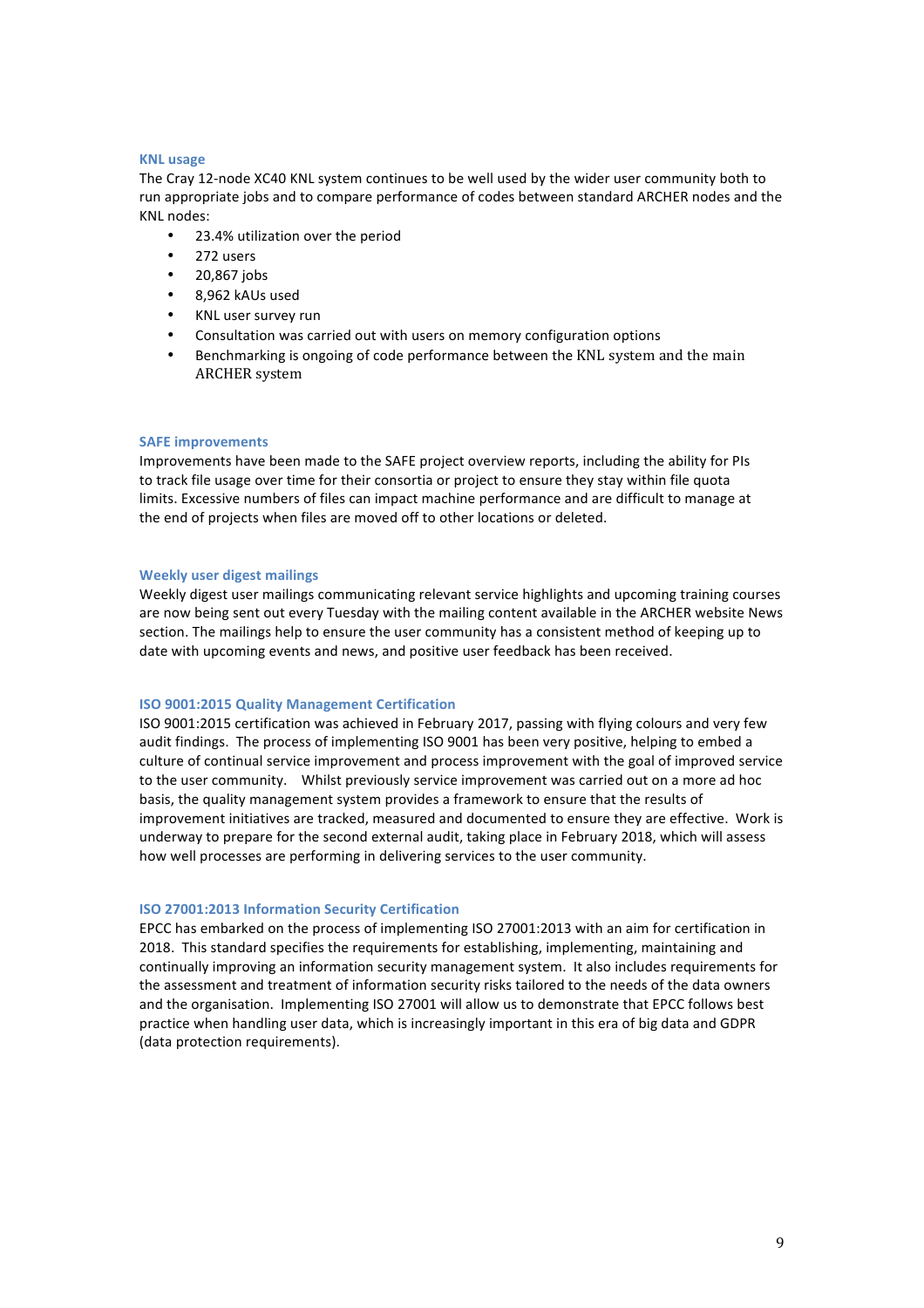#### **KNL usage**

The Cray 12-node XC40 KNL system continues to be well used by the wider user community both to run appropriate jobs and to compare performance of codes between standard ARCHER nodes and the KNL nodes:

- 23.4% utilization over the period
- 272 users
- 20,867 jobs
- 8,962 kAUs used
- KNL user survey run
- Consultation was carried out with users on memory configuration options
- Benchmarking is ongoing of code performance between the KNL system and the main ARCHER system

#### **SAFE** improvements

Improvements have been made to the SAFE project overview reports, including the ability for PIs to track file usage over time for their consortia or project to ensure they stay within file quota limits. Excessive numbers of files can impact machine performance and are difficult to manage at the end of projects when files are moved off to other locations or deleted.

#### **Weekly user digest mailings**

Weekly digest user mailings communicating relevant service highlights and upcoming training courses are now being sent out every Tuesday with the mailing content available in the ARCHER website News section. The mailings help to ensure the user community has a consistent method of keeping up to date with upcoming events and news, and positive user feedback has been received.

#### **ISO 9001:2015 Quality Management Certification**

ISO 9001:2015 certification was achieved in February 2017, passing with flying colours and very few audit findings. The process of implementing ISO 9001 has been very positive, helping to embed a culture of continual service improvement and process improvement with the goal of improved service to the user community. Whilst previously service improvement was carried out on a more ad hoc basis, the quality management system provides a framework to ensure that the results of improvement initiatives are tracked, measured and documented to ensure they are effective. Work is underway to prepare for the second external audit, taking place in February 2018, which will assess how well processes are performing in delivering services to the user community.

#### **ISO 27001:2013 Information Security Certification**

EPCC has embarked on the process of implementing ISO 27001:2013 with an aim for certification in 2018. This standard specifies the requirements for establishing, implementing, maintaining and continually improving an information security management system. It also includes requirements for the assessment and treatment of information security risks tailored to the needs of the data owners and the organisation. Implementing ISO 27001 will allow us to demonstrate that EPCC follows best practice when handling user data, which is increasingly important in this era of big data and GDPR (data protection requirements).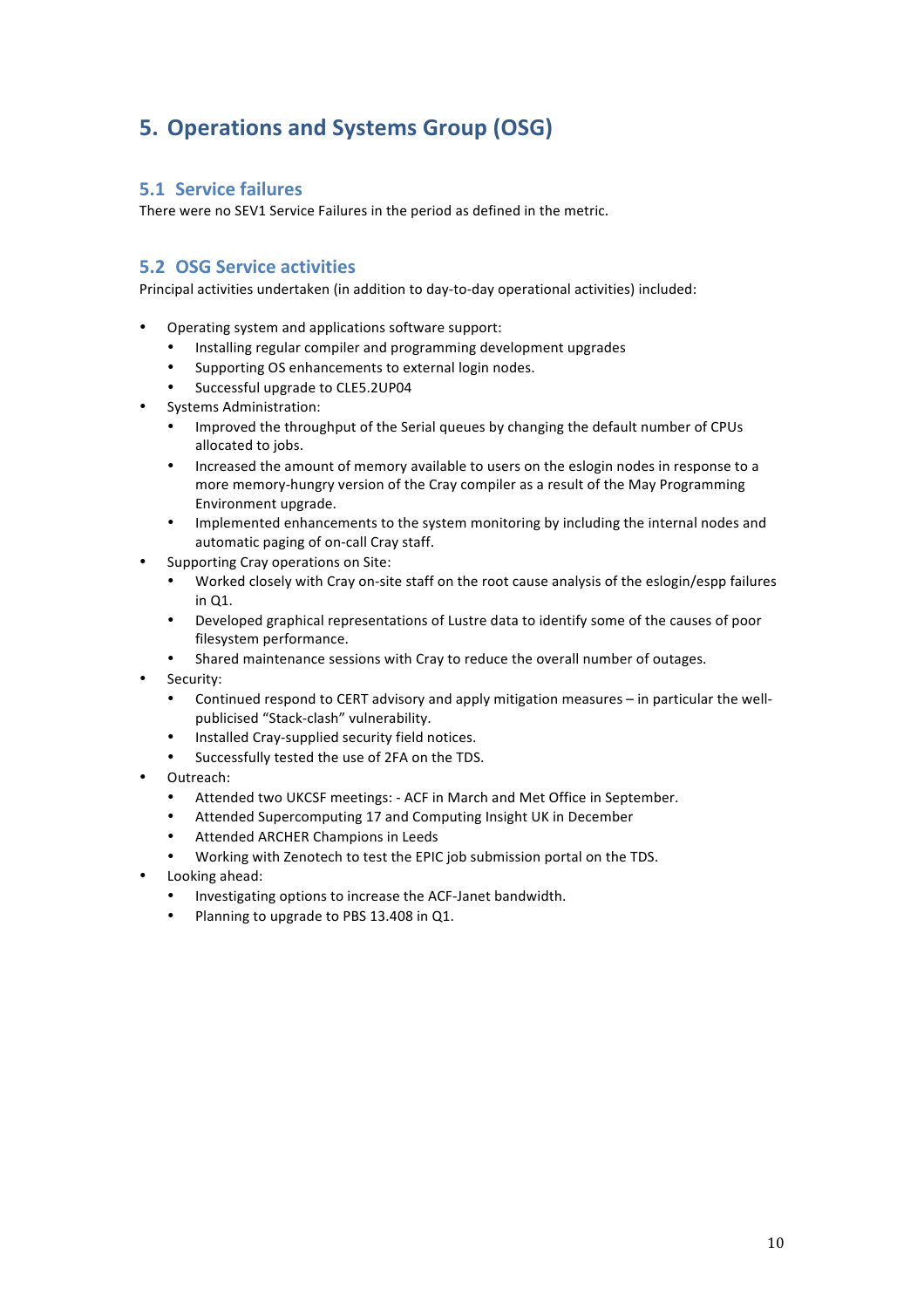# **5. Operations and Systems Group (OSG)**

## **5.1 Service failures**

There were no SEV1 Service Failures in the period as defined in the metric.

## **5.2 OSG Service activities**

Principal activities undertaken (in addition to day-to-day operational activities) included:

- Operating system and applications software support:
	- Installing regular compiler and programming development upgrades
	- Supporting OS enhancements to external login nodes.
	- Successful upgrade to CLE5.2UP04
- Systems Administration:
	- Improved the throughput of the Serial queues by changing the default number of CPUs allocated to jobs.
	- Increased the amount of memory available to users on the eslogin nodes in response to a more memory-hungry version of the Cray compiler as a result of the May Programming Environment upgrade.
	- Implemented enhancements to the system monitoring by including the internal nodes and automatic paging of on-call Cray staff.
- Supporting Cray operations on Site:
	- Worked closely with Cray on-site staff on the root cause analysis of the eslogin/espp failures in Q1.
	- Developed graphical representations of Lustre data to identify some of the causes of poor filesystem performance.
	- Shared maintenance sessions with Cray to reduce the overall number of outages.
	- Security:
		- Continued respond to CERT advisory and apply mitigation measures in particular the wellpublicised "Stack-clash" vulnerability.
		- Installed Cray-supplied security field notices.
		- Successfully tested the use of 2FA on the TDS.
- Outreach:
	- Attended two UKCSF meetings: ACF in March and Met Office in September.
	- Attended Supercomputing 17 and Computing Insight UK in December
	- Attended ARCHER Champions in Leeds
	- Working with Zenotech to test the EPIC job submission portal on the TDS.
- Looking ahead:
	- Investigating options to increase the ACF-Janet bandwidth.
	- Planning to upgrade to PBS 13.408 in Q1.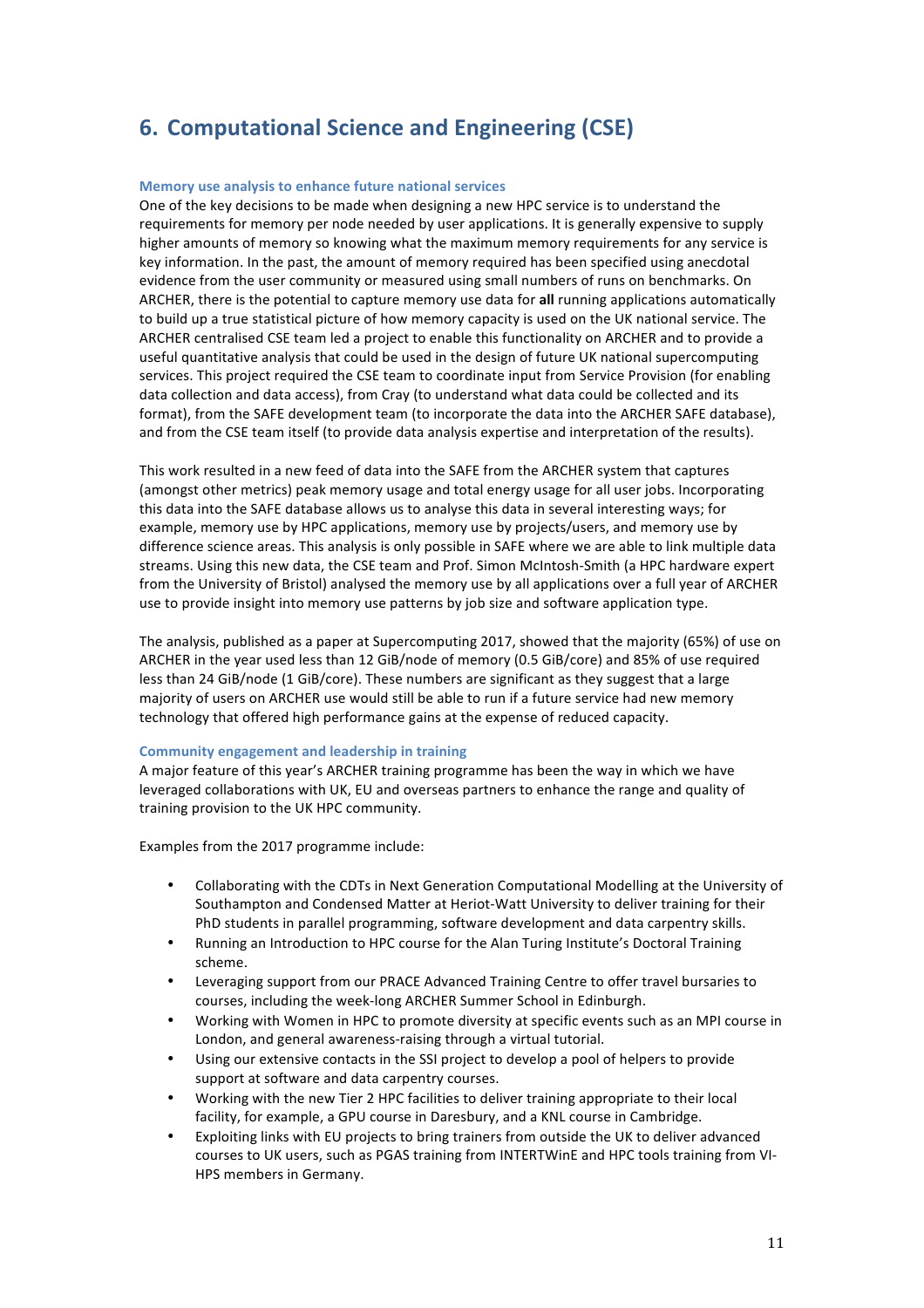# **6. Computational Science and Engineering (CSE)**

#### **Memory use analysis to enhance future national services**

One of the key decisions to be made when designing a new HPC service is to understand the requirements for memory per node needed by user applications. It is generally expensive to supply higher amounts of memory so knowing what the maximum memory requirements for any service is key information. In the past, the amount of memory required has been specified using anecdotal evidence from the user community or measured using small numbers of runs on benchmarks. On ARCHER, there is the potential to capture memory use data for all running applications automatically to build up a true statistical picture of how memory capacity is used on the UK national service. The ARCHER centralised CSE team led a project to enable this functionality on ARCHER and to provide a useful quantitative analysis that could be used in the design of future UK national supercomputing services. This project required the CSE team to coordinate input from Service Provision (for enabling data collection and data access), from Cray (to understand what data could be collected and its format), from the SAFE development team (to incorporate the data into the ARCHER SAFE database), and from the CSE team itself (to provide data analysis expertise and interpretation of the results).

This work resulted in a new feed of data into the SAFE from the ARCHER system that captures (amongst other metrics) peak memory usage and total energy usage for all user jobs. Incorporating this data into the SAFE database allows us to analyse this data in several interesting ways; for example, memory use by HPC applications, memory use by projects/users, and memory use by difference science areas. This analysis is only possible in SAFE where we are able to link multiple data streams. Using this new data, the CSE team and Prof. Simon McIntosh-Smith (a HPC hardware expert from the University of Bristol) analysed the memory use by all applications over a full year of ARCHER use to provide insight into memory use patterns by job size and software application type.

The analysis, published as a paper at Supercomputing 2017, showed that the majority (65%) of use on ARCHER in the year used less than 12 GiB/node of memory (0.5 GiB/core) and 85% of use required less than 24 GiB/node (1 GiB/core). These numbers are significant as they suggest that a large majority of users on ARCHER use would still be able to run if a future service had new memory technology that offered high performance gains at the expense of reduced capacity.

#### **Community engagement and leadership in training**

A major feature of this year's ARCHER training programme has been the way in which we have leveraged collaborations with UK, EU and overseas partners to enhance the range and quality of training provision to the UK HPC community.

Examples from the 2017 programme include:

- Collaborating with the CDTs in Next Generation Computational Modelling at the University of Southampton and Condensed Matter at Heriot-Watt University to deliver training for their PhD students in parallel programming, software development and data carpentry skills.
- Running an Introduction to HPC course for the Alan Turing Institute's Doctoral Training scheme.
- Leveraging support from our PRACE Advanced Training Centre to offer travel bursaries to courses, including the week-long ARCHER Summer School in Edinburgh.
- Working with Women in HPC to promote diversity at specific events such as an MPI course in London, and general awareness-raising through a virtual tutorial.
- Using our extensive contacts in the SSI project to develop a pool of helpers to provide support at software and data carpentry courses.
- Working with the new Tier 2 HPC facilities to deliver training appropriate to their local facility, for example, a GPU course in Daresbury, and a KNL course in Cambridge.
- Exploiting links with EU projects to bring trainers from outside the UK to deliver advanced courses to UK users, such as PGAS training from INTERTWinE and HPC tools training from VI-HPS members in Germany.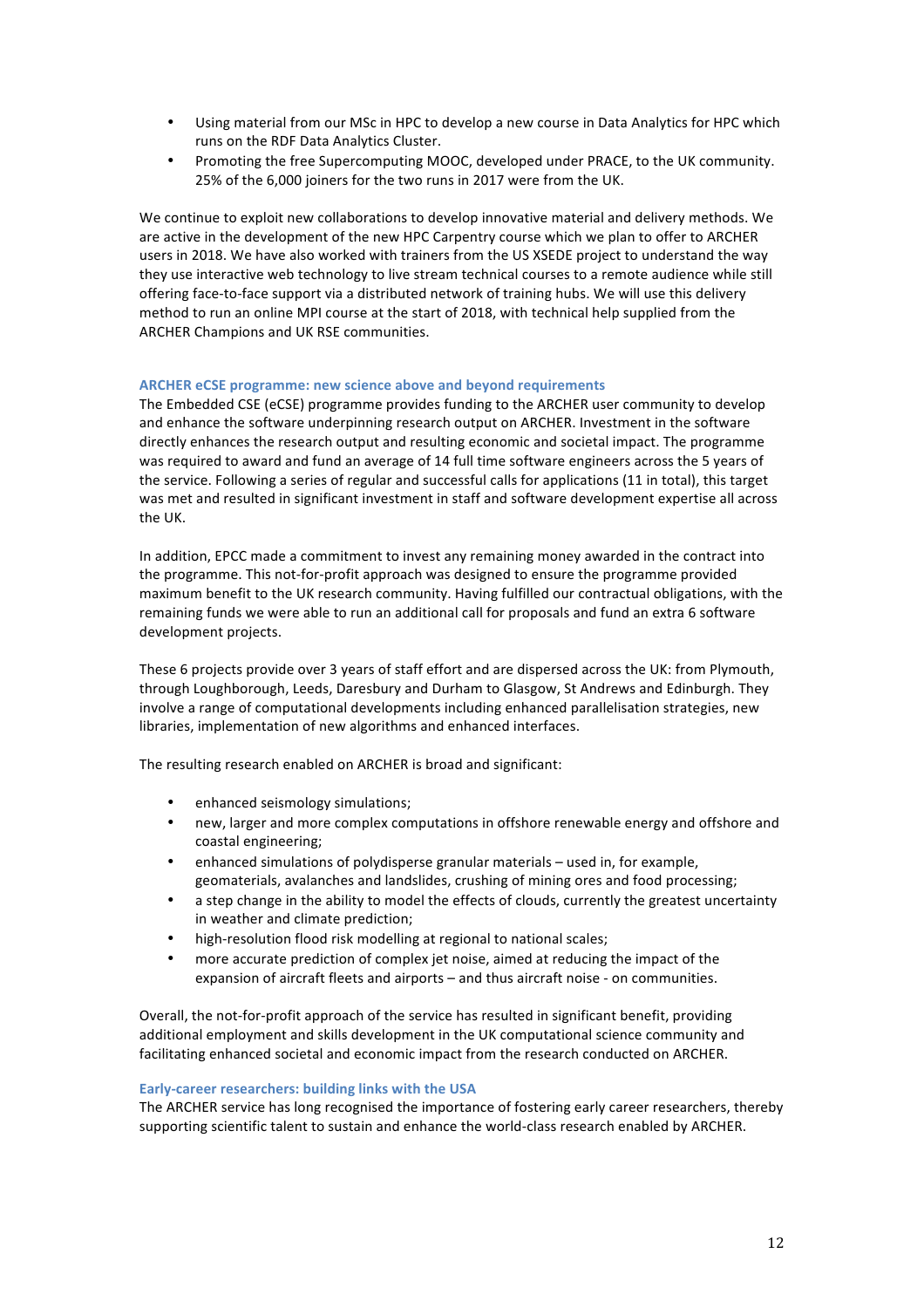- Using material from our MSc in HPC to develop a new course in Data Analytics for HPC which runs on the RDF Data Analytics Cluster.
- Promoting the free Supercomputing MOOC, developed under PRACE, to the UK community. 25% of the 6,000 joiners for the two runs in 2017 were from the UK.

We continue to exploit new collaborations to develop innovative material and delivery methods. We are active in the development of the new HPC Carpentry course which we plan to offer to ARCHER users in 2018. We have also worked with trainers from the US XSEDE project to understand the way they use interactive web technology to live stream technical courses to a remote audience while still offering face-to-face support via a distributed network of training hubs. We will use this delivery method to run an online MPI course at the start of 2018, with technical help supplied from the ARCHER Champions and UK RSE communities.

#### ARCHER eCSE programme: new science above and beyond requirements

The Embedded CSE (eCSE) programme provides funding to the ARCHER user community to develop and enhance the software underpinning research output on ARCHER. Investment in the software directly enhances the research output and resulting economic and societal impact. The programme was required to award and fund an average of 14 full time software engineers across the 5 years of the service. Following a series of regular and successful calls for applications (11 in total), this target was met and resulted in significant investment in staff and software development expertise all across the UK.

In addition, EPCC made a commitment to invest any remaining money awarded in the contract into the programme. This not-for-profit approach was designed to ensure the programme provided maximum benefit to the UK research community. Having fulfilled our contractual obligations, with the remaining funds we were able to run an additional call for proposals and fund an extra 6 software development projects.

These 6 projects provide over 3 years of staff effort and are dispersed across the UK: from Plymouth, through Loughborough, Leeds, Daresbury and Durham to Glasgow, St Andrews and Edinburgh. They involve a range of computational developments including enhanced parallelisation strategies, new libraries, implementation of new algorithms and enhanced interfaces.

The resulting research enabled on ARCHER is broad and significant:

- enhanced seismology simulations;
- new, larger and more complex computations in offshore renewable energy and offshore and coastal engineering;
- enhanced simulations of polydisperse granular materials used in, for example, geomaterials, avalanches and landslides, crushing of mining ores and food processing;
- a step change in the ability to model the effects of clouds, currently the greatest uncertainty in weather and climate prediction;
- high-resolution flood risk modelling at regional to national scales;
- more accurate prediction of complex jet noise, aimed at reducing the impact of the expansion of aircraft fleets and airports – and thus aircraft noise - on communities.

Overall, the not-for-profit approach of the service has resulted in significant benefit, providing additional employment and skills development in the UK computational science community and facilitating enhanced societal and economic impact from the research conducted on ARCHER.

#### **Early-career researchers: building links with the USA**

The ARCHER service has long recognised the importance of fostering early career researchers, thereby supporting scientific talent to sustain and enhance the world-class research enabled by ARCHER.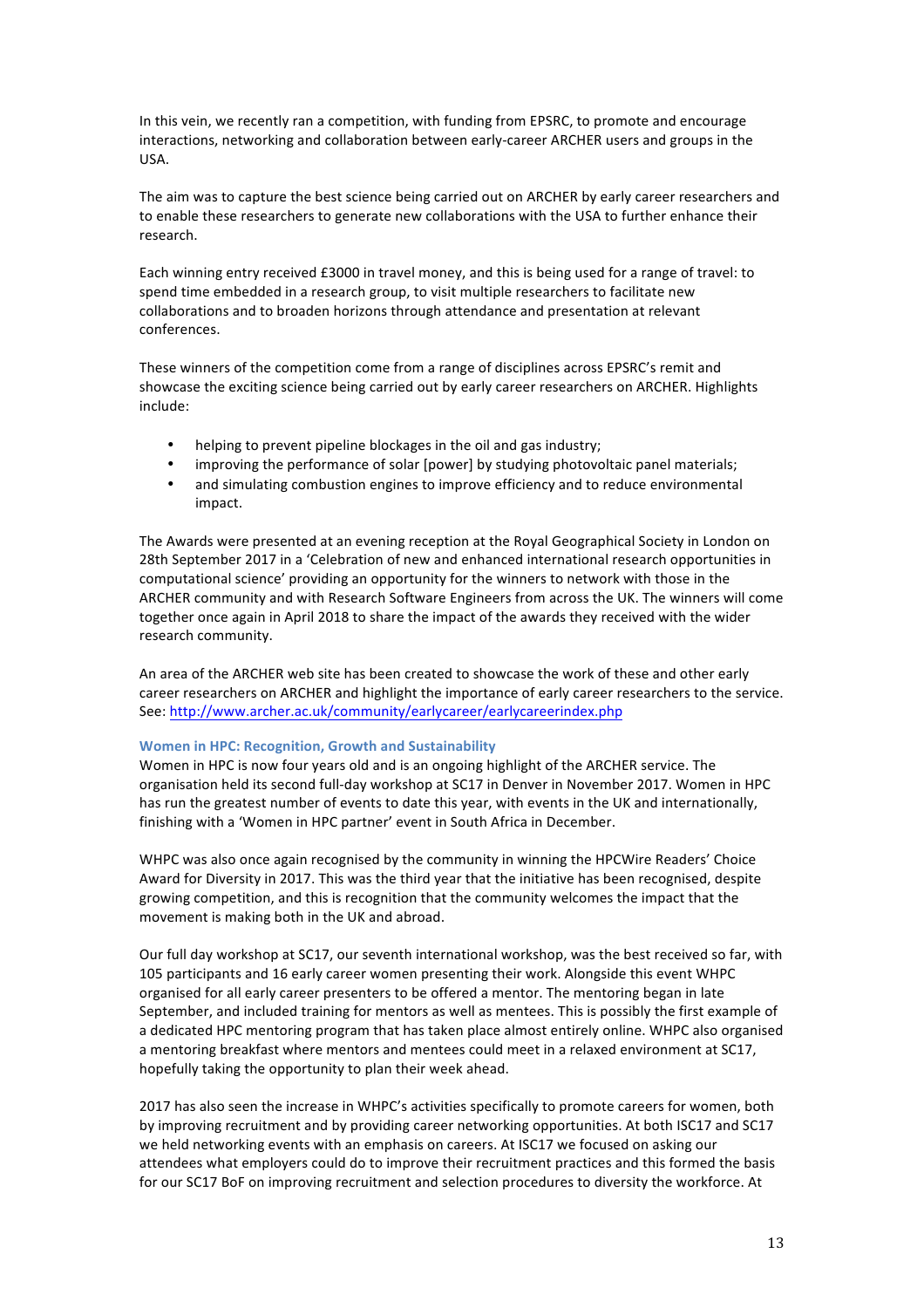In this vein, we recently ran a competition, with funding from EPSRC, to promote and encourage interactions, networking and collaboration between early-career ARCHER users and groups in the USA.

The aim was to capture the best science being carried out on ARCHER by early career researchers and to enable these researchers to generate new collaborations with the USA to further enhance their research.

Each winning entry received £3000 in travel money, and this is being used for a range of travel: to spend time embedded in a research group, to visit multiple researchers to facilitate new collaborations and to broaden horizons through attendance and presentation at relevant conferences.

These winners of the competition come from a range of disciplines across EPSRC's remit and showcase the exciting science being carried out by early career researchers on ARCHER. Highlights include:

- helping to prevent pipeline blockages in the oil and gas industry:
- improving the performance of solar [power] by studying photovoltaic panel materials;
- and simulating combustion engines to improve efficiency and to reduce environmental impact.

The Awards were presented at an evening reception at the Royal Geographical Society in London on 28th September 2017 in a 'Celebration of new and enhanced international research opportunities in computational science' providing an opportunity for the winners to network with those in the ARCHER community and with Research Software Engineers from across the UK. The winners will come together once again in April 2018 to share the impact of the awards they received with the wider research community.

An area of the ARCHER web site has been created to showcase the work of these and other early career researchers on ARCHER and highlight the importance of early career researchers to the service. See: http://www.archer.ac.uk/community/earlycareer/earlycareerindex.php

#### **Women in HPC: Recognition, Growth and Sustainability**

Women in HPC is now four years old and is an ongoing highlight of the ARCHER service. The organisation held its second full-day workshop at SC17 in Denver in November 2017. Women in HPC has run the greatest number of events to date this year, with events in the UK and internationally, finishing with a 'Women in HPC partner' event in South Africa in December.

WHPC was also once again recognised by the community in winning the HPCWire Readers' Choice Award for Diversity in 2017. This was the third year that the initiative has been recognised, despite growing competition, and this is recognition that the community welcomes the impact that the movement is making both in the UK and abroad.

Our full day workshop at SC17, our seventh international workshop, was the best received so far, with 105 participants and 16 early career women presenting their work. Alongside this event WHPC organised for all early career presenters to be offered a mentor. The mentoring began in late September, and included training for mentors as well as mentees. This is possibly the first example of a dedicated HPC mentoring program that has taken place almost entirely online. WHPC also organised a mentoring breakfast where mentors and mentees could meet in a relaxed environment at SC17, hopefully taking the opportunity to plan their week ahead.

2017 has also seen the increase in WHPC's activities specifically to promote careers for women, both by improving recruitment and by providing career networking opportunities. At both ISC17 and SC17 we held networking events with an emphasis on careers. At ISC17 we focused on asking our attendees what employers could do to improve their recruitment practices and this formed the basis for our SC17 BoF on improving recruitment and selection procedures to diversity the workforce. At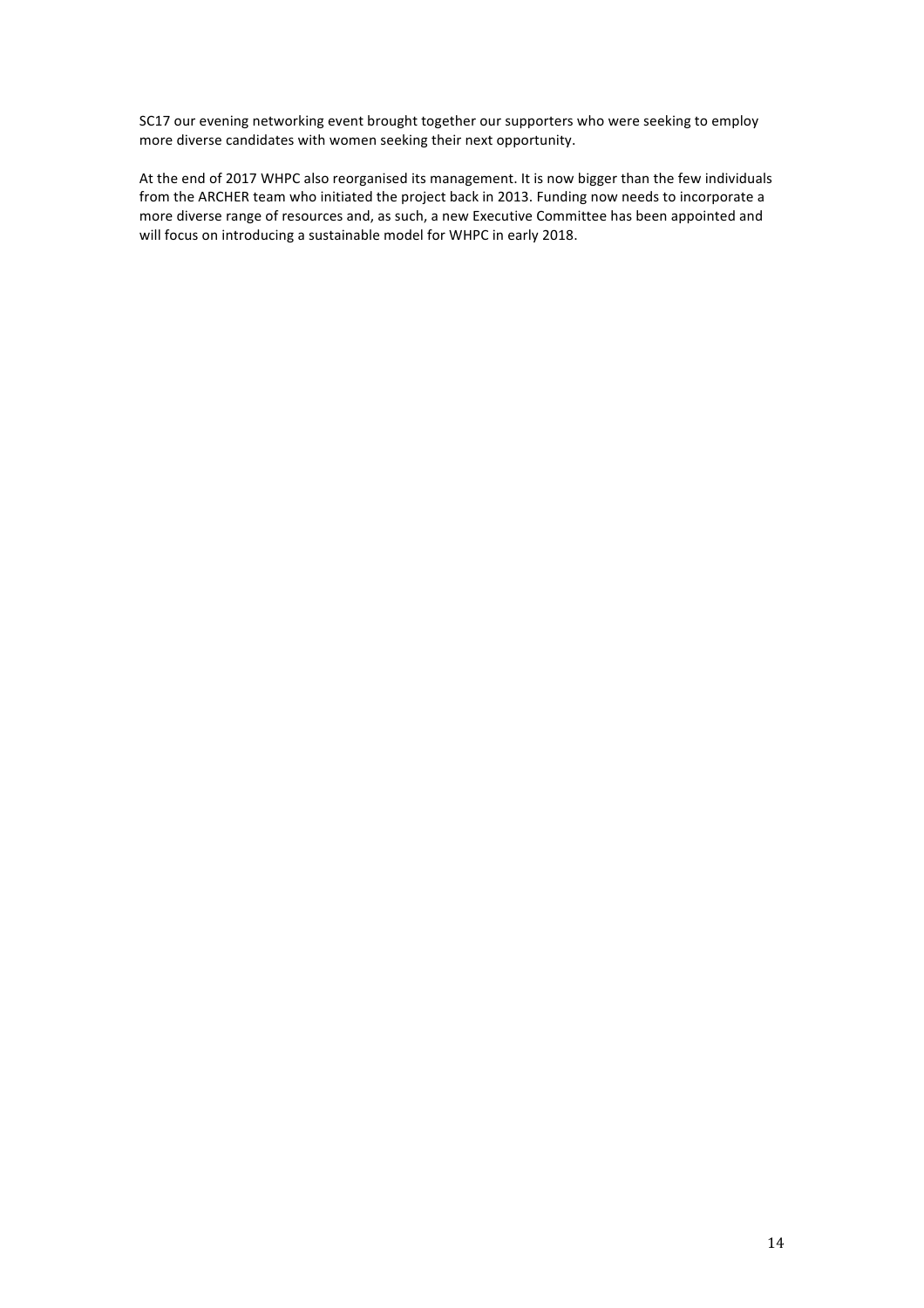SC17 our evening networking event brought together our supporters who were seeking to employ more diverse candidates with women seeking their next opportunity.

At the end of 2017 WHPC also reorganised its management. It is now bigger than the few individuals from the ARCHER team who initiated the project back in 2013. Funding now needs to incorporate a more diverse range of resources and, as such, a new Executive Committee has been appointed and will focus on introducing a sustainable model for WHPC in early 2018.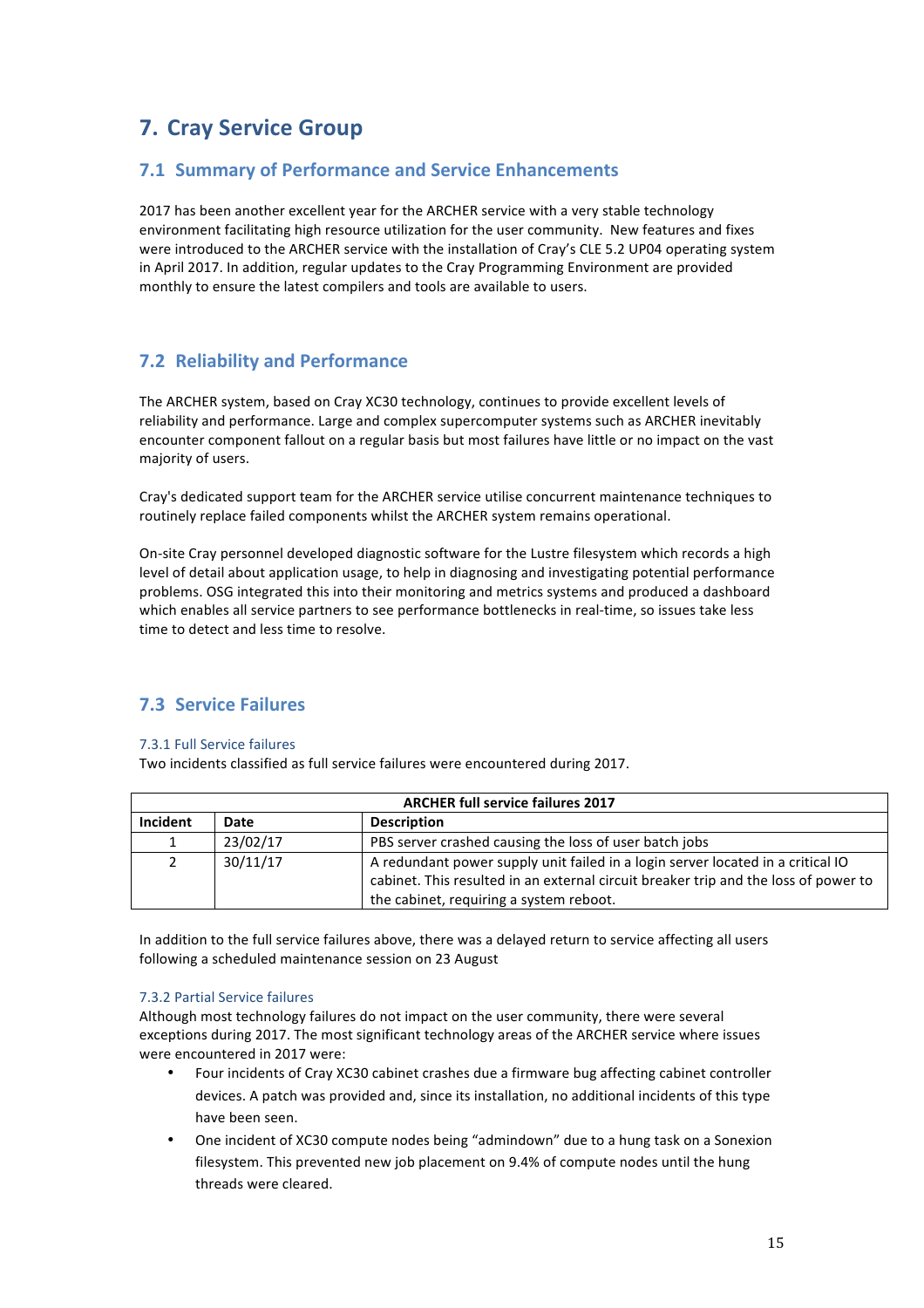# **7. Cray Service Group**

## **7.1 Summary of Performance and Service Enhancements**

2017 has been another excellent year for the ARCHER service with a very stable technology environment facilitating high resource utilization for the user community. New features and fixes were introduced to the ARCHER service with the installation of Cray's CLE 5.2 UP04 operating system in April 2017. In addition, regular updates to the Cray Programming Environment are provided monthly to ensure the latest compilers and tools are available to users.

# **7.2 Reliability and Performance**

The ARCHER system, based on Cray XC30 technology, continues to provide excellent levels of reliability and performance. Large and complex supercomputer systems such as ARCHER inevitably encounter component fallout on a regular basis but most failures have little or no impact on the vast majority of users.

Cray's dedicated support team for the ARCHER service utilise concurrent maintenance techniques to routinely replace failed components whilst the ARCHER system remains operational.

On-site Cray personnel developed diagnostic software for the Lustre filesystem which records a high level of detail about application usage, to help in diagnosing and investigating potential performance problems. OSG integrated this into their monitoring and metrics systems and produced a dashboard which enables all service partners to see performance bottlenecks in real-time, so issues take less time to detect and less time to resolve.

# **7.3 Service Failures**

#### 7.3.1 Full Service failures

Two incidents classified as full service failures were encountered during 2017.

| <b>ARCHER full service failures 2017</b> |                            |                                                                                     |  |
|------------------------------------------|----------------------------|-------------------------------------------------------------------------------------|--|
| Incident                                 | Date<br><b>Description</b> |                                                                                     |  |
|                                          | 23/02/17                   | PBS server crashed causing the loss of user batch jobs                              |  |
| $\overline{2}$                           | 30/11/17                   | A redundant power supply unit failed in a login server located in a critical IO     |  |
|                                          |                            | cabinet. This resulted in an external circuit breaker trip and the loss of power to |  |
|                                          |                            | the cabinet, requiring a system reboot.                                             |  |

In addition to the full service failures above, there was a delayed return to service affecting all users following a scheduled maintenance session on 23 August

#### 7.3.2 Partial Service failures

Although most technology failures do not impact on the user community, there were several exceptions during 2017. The most significant technology areas of the ARCHER service where issues were encountered in 2017 were:

- Four incidents of Cray XC30 cabinet crashes due a firmware bug affecting cabinet controller devices. A patch was provided and, since its installation, no additional incidents of this type have been seen.
- One incident of XC30 compute nodes being "admindown" due to a hung task on a Sonexion filesystem. This prevented new job placement on 9.4% of compute nodes until the hung threads were cleared.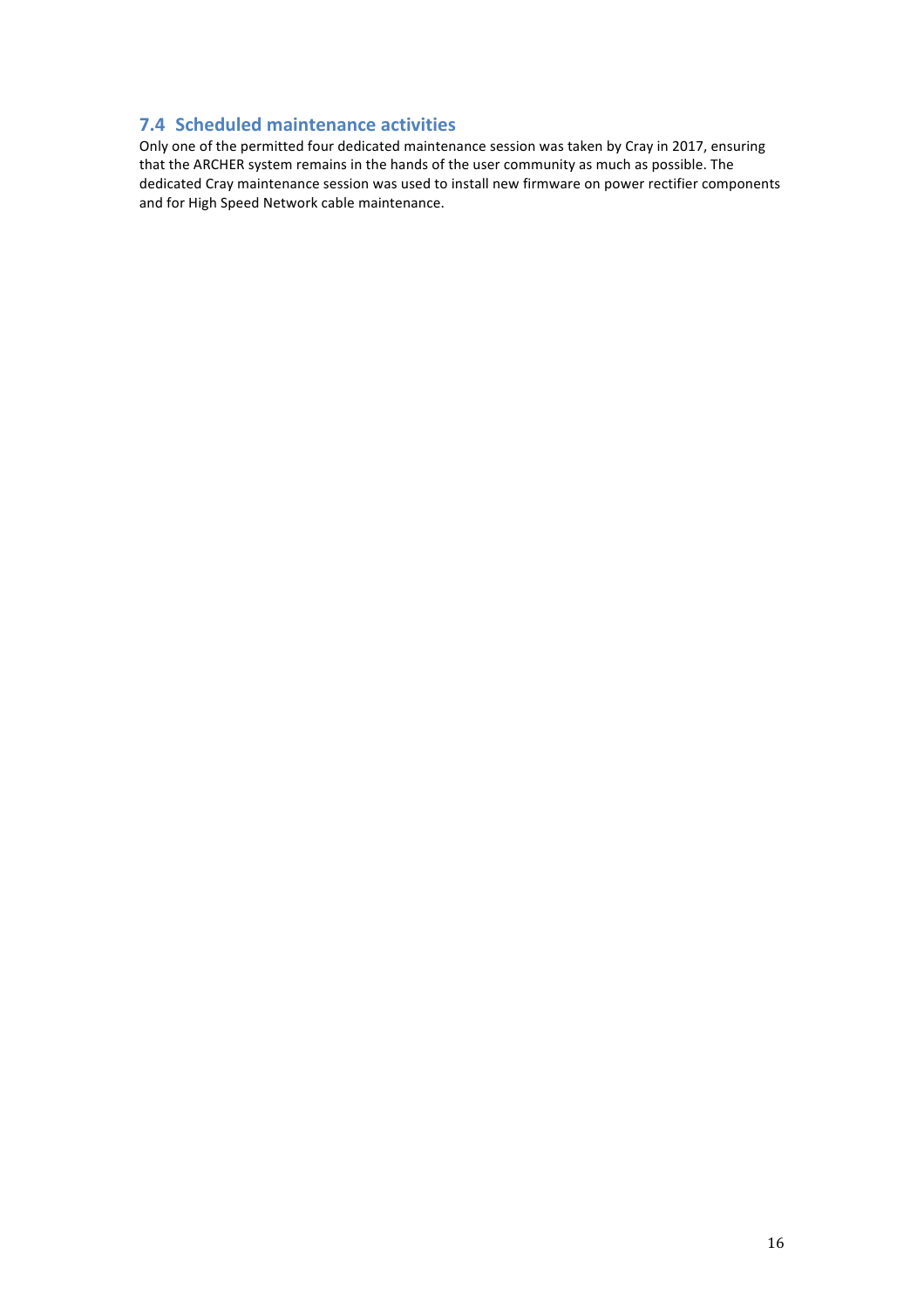# **7.4 Scheduled maintenance activities**

Only one of the permitted four dedicated maintenance session was taken by Cray in 2017, ensuring that the ARCHER system remains in the hands of the user community as much as possible. The dedicated Cray maintenance session was used to install new firmware on power rectifier components and for High Speed Network cable maintenance.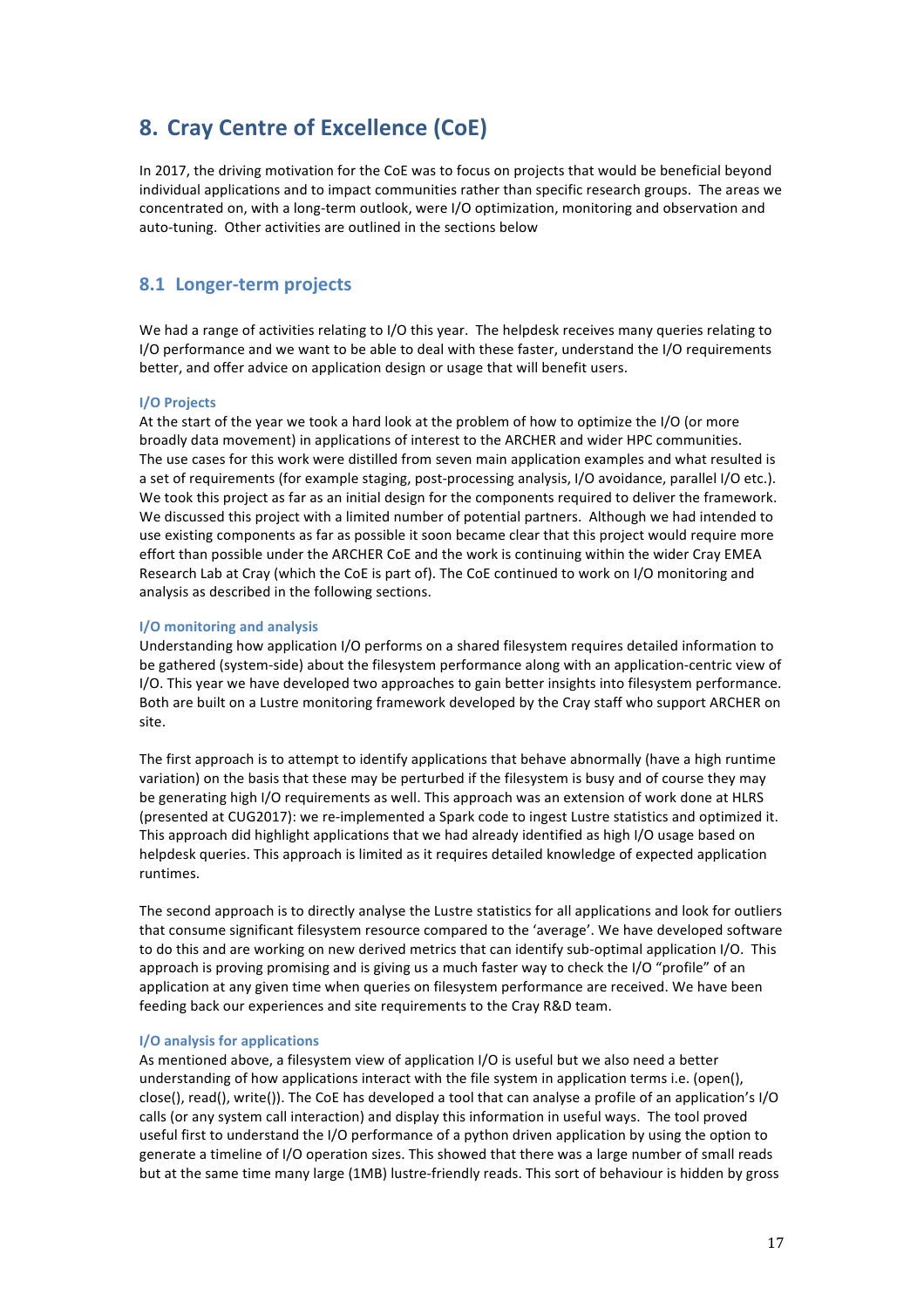# **8.** Cray Centre of Excellence (CoE)

In 2017, the driving motivation for the CoE was to focus on projects that would be beneficial beyond individual applications and to impact communities rather than specific research groups. The areas we concentrated on, with a long-term outlook, were I/O optimization, monitoring and observation and auto-tuning. Other activities are outlined in the sections below

### **8.1 Longer-term projects**

We had a range of activities relating to I/O this year. The helpdesk receives many queries relating to I/O performance and we want to be able to deal with these faster, understand the I/O requirements better, and offer advice on application design or usage that will benefit users.

#### **I/O Projects**

At the start of the year we took a hard look at the problem of how to optimize the I/O (or more broadly data movement) in applications of interest to the ARCHER and wider HPC communities. The use cases for this work were distilled from seven main application examples and what resulted is a set of requirements (for example staging, post-processing analysis, I/O avoidance, parallel I/O etc.). We took this project as far as an initial design for the components required to deliver the framework. We discussed this project with a limited number of potential partners. Although we had intended to use existing components as far as possible it soon became clear that this project would require more effort than possible under the ARCHER CoE and the work is continuing within the wider Cray EMEA Research Lab at Cray (which the CoE is part of). The CoE continued to work on I/O monitoring and analysis as described in the following sections.

#### **I/O** monitoring and analysis

Understanding how application I/O performs on a shared filesystem requires detailed information to be gathered (system-side) about the filesystem performance along with an application-centric view of I/O. This year we have developed two approaches to gain better insights into filesystem performance. Both are built on a Lustre monitoring framework developed by the Cray staff who support ARCHER on site. 

The first approach is to attempt to identify applications that behave abnormally (have a high runtime variation) on the basis that these may be perturbed if the filesystem is busy and of course they may be generating high I/O requirements as well. This approach was an extension of work done at HLRS (presented at CUG2017): we re-implemented a Spark code to ingest Lustre statistics and optimized it. This approach did highlight applications that we had already identified as high I/O usage based on helpdesk queries. This approach is limited as it requires detailed knowledge of expected application runtimes.

The second approach is to directly analyse the Lustre statistics for all applications and look for outliers that consume significant filesystem resource compared to the 'average'. We have developed software to do this and are working on new derived metrics that can identify sub-optimal application I/O. This approach is proving promising and is giving us a much faster way to check the I/O "profile" of an application at any given time when queries on filesystem performance are received. We have been feeding back our experiences and site requirements to the Cray R&D team.

#### **I/O** analysis for applications

As mentioned above, a filesystem view of application I/O is useful but we also need a better understanding of how applications interact with the file system in application terms i.e. (open(), close(), read(), write()). The CoE has developed a tool that can analyse a profile of an application's I/O calls (or any system call interaction) and display this information in useful ways. The tool proved useful first to understand the I/O performance of a python driven application by using the option to generate a timeline of I/O operation sizes. This showed that there was a large number of small reads but at the same time many large (1MB) lustre-friendly reads. This sort of behaviour is hidden by gross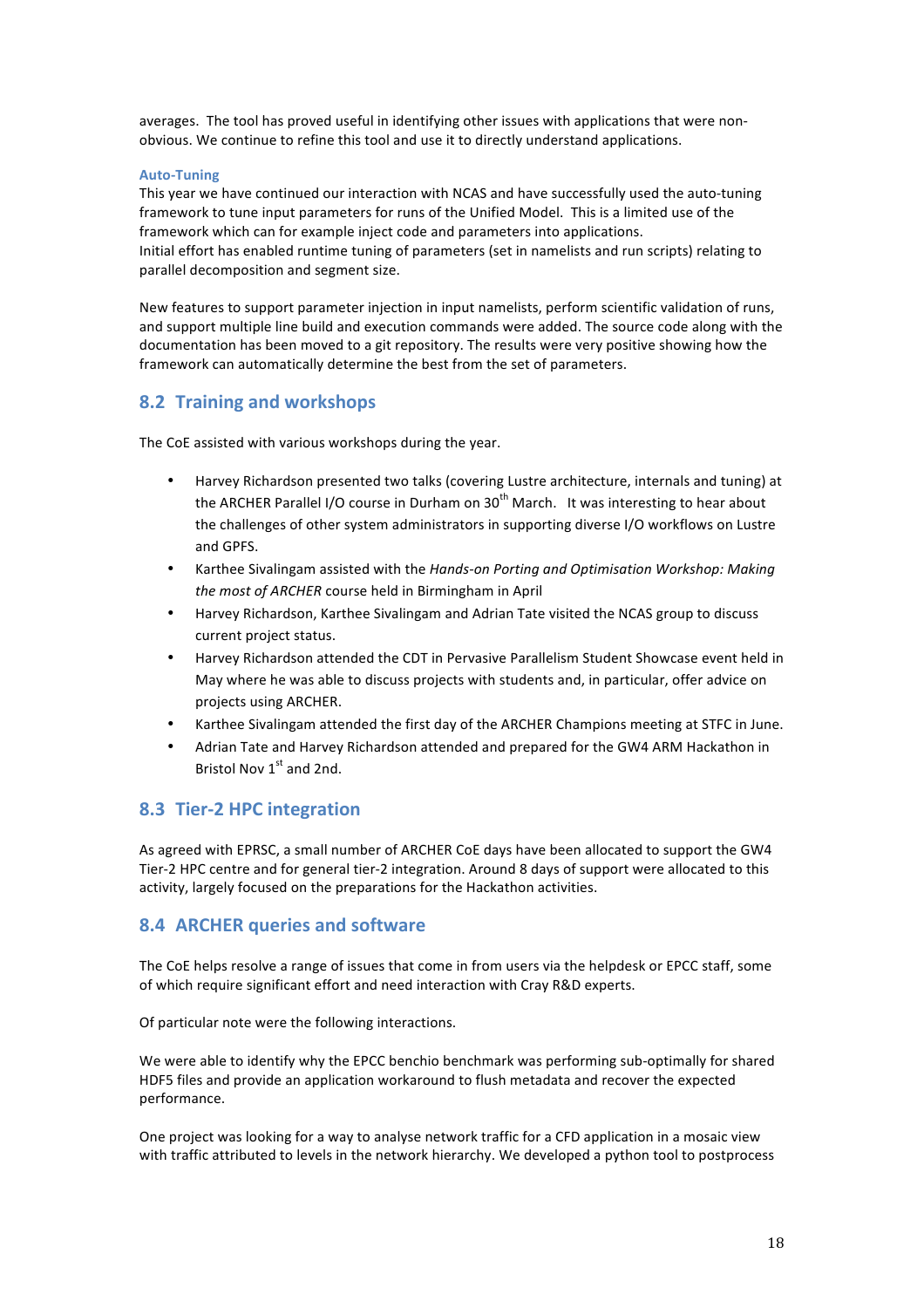averages. The tool has proved useful in identifying other issues with applications that were nonobvious. We continue to refine this tool and use it to directly understand applications.

#### **Auto-Tuning**

This year we have continued our interaction with NCAS and have successfully used the auto-tuning framework to tune input parameters for runs of the Unified Model. This is a limited use of the framework which can for example inject code and parameters into applications. Initial effort has enabled runtime tuning of parameters (set in namelists and run scripts) relating to parallel decomposition and segment size.

New features to support parameter injection in input namelists, perform scientific validation of runs, and support multiple line build and execution commands were added. The source code along with the documentation has been moved to a git repository. The results were very positive showing how the framework can automatically determine the best from the set of parameters.

## **8.2 Training and workshops**

The CoE assisted with various workshops during the year.

- Harvey Richardson presented two talks (covering Lustre architecture, internals and tuning) at the ARCHER Parallel I/O course in Durham on  $30<sup>th</sup>$  March. It was interesting to hear about the challenges of other system administrators in supporting diverse I/O workflows on Lustre and GPFS.
- Karthee Sivalingam assisted with the *Hands-on Porting and Optimisation Workshop: Making the most of ARCHER* course held in Birmingham in April
- Harvey Richardson, Karthee Sivalingam and Adrian Tate visited the NCAS group to discuss current project status.
- Harvey Richardson attended the CDT in Pervasive Parallelism Student Showcase event held in May where he was able to discuss projects with students and, in particular, offer advice on projects using ARCHER.
- Karthee Sivalingam attended the first day of the ARCHER Champions meeting at STFC in June.
- Adrian Tate and Harvey Richardson attended and prepared for the GW4 ARM Hackathon in Bristol Nov  $1<sup>st</sup>$  and 2nd.

## **8.3 Tier-2 HPC integration**

As agreed with EPRSC, a small number of ARCHER CoE days have been allocated to support the GW4 Tier-2 HPC centre and for general tier-2 integration. Around 8 days of support were allocated to this activity, largely focused on the preparations for the Hackathon activities.

## **8.4 ARCHER queries and software**

The CoE helps resolve a range of issues that come in from users via the helpdesk or EPCC staff, some of which require significant effort and need interaction with Cray R&D experts.

Of particular note were the following interactions.

We were able to identify why the EPCC benchio benchmark was performing sub-optimally for shared HDF5 files and provide an application workaround to flush metadata and recover the expected performance.

One project was looking for a way to analyse network traffic for a CFD application in a mosaic view with traffic attributed to levels in the network hierarchy. We developed a python tool to postprocess